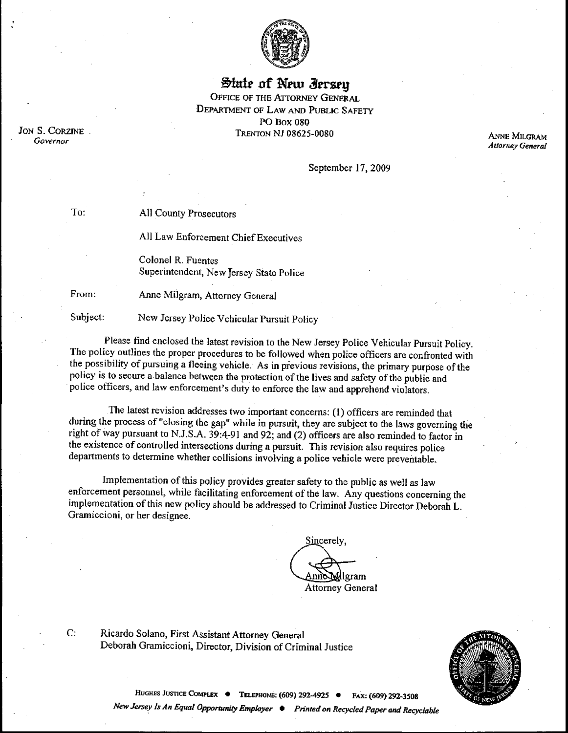

**State of New Jersey** OFFICE OF THE ATTORNEY GENERAL DEPARTMENT OF LAW AND PUBLIC SAFETY PO Box 080 TRENTON NJ 08625-0080

JoN S. CORZINE Governor

**ANNE MILGRAM** *Attorney General*

September 17, 2009

All County Prosecutors

All Law Enforcement Chief Executives

Colonel R. Fuentes Superintendent, New Jersey State Police

 $\mathbf{C}$ :

To:

From: Anne Milgram, Attorney General

Subject: New Jersey Police Vehicular Pursuit Policy

Please find enclosed the latest revision to the New Jersey Police Vehicular Pursuit Policy. The policy outlines the proper procedures to be followed when police officers are confronted with the possibility of pursuing a fleeing vehicle. As in previous revisions, the primary purpose of the policy is to secure a balance between the protection of the lives and safety of the public and police officers, and law enforeement's duty to enforce the law and apprehend violators.

The latest revision addresses two important concerns: (1) officers are reminded that during the process of "closing the gap" while in pursuit, they are subject to the laws governing the right of way pursuant to N.J.S.A. 39:4-91 and 92; and (2) officers are also reminded to factor in the existence of controlled intersections during a pursuit. This revision also requires police departments to determine whether collisions involving a police vehicle were preventable.

Implementation of this policy provides greater safety to the public as well as law enforcement personnel, while facilitating enforcement of the law. Any questions concerning the implementation of this new policy should be addressed to Criminal Justice Director Deborah L. Gramiccioni, or her designee.

Sincerely, lgram Attorney General

Ricardo Solano, First Assistant Attorney General Deborah Gramiccioni, Director, Division of Criminal Justice



HUGHES JUSTICE COMPLEX  $\bullet$  **TELEPHONE: (609) 292-4925**  $\bullet$  Fax: (609) 292-3508 *New Jersey Is An Equal Opportunity Employer*  $\bullet$  *Printed on Recycled Paper and Recyclable*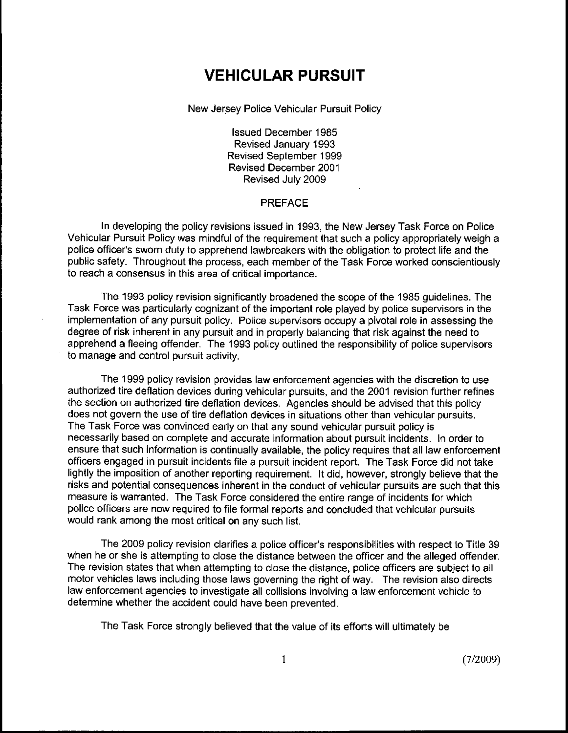# **VEHICULAR PURSUIT**

New Jersey Police Vehicular Pursuit Policy

Issued December 1985 Revised January 1993 Revised September 1999 Revised December 2001 Revised July 2009

#### PREFACE

In developing the policy revisions issued in 1993, the New Jersey Task Force on Police Vehicular Pursuit Policy was mindful of the requirement that such a policy appropriately weigh a police officer's sworn duty to apprehend lawbreakers with the obligation to protect life and the public safety. Throughout the process, each member of the Task Force worked conscientiously to reach a consensus in this area of critical importance.

The 1993 policy revision significantly broadened the scope of the 1985 guidelines. The Task Force was particularly cognizant of the important role played by police supervisors in the implementation of any pursuit policy. Police supervisors occupy a pivotal role in assessing the degree of risk inherent in any pursuit and in properly balancing that risk against the need to apprehend a fleeing offender. The 1993 policy outlined the responsibility of police supervisors to manage and control pursuit activity.

The 1999 policy revision provides law enforcement agencies with the discretion to use authorized tire deflation devices during vehicular pursuits, and the 2001 revision further refines the section on authorized tire deflation devices. Agencies should be advised that this policy does not govern the use of tire deflation devices in situations other than vehicular pursuits. The Task Force was convinced early on that any sound vehicular pursuit policy is necessarily based on complete and accurate information about pursuit incidents. In order to ensure that such information is continually available, the policy requires that all law enforcement officers engaged in pursuit incidents file a pursuit incident report. The Task Force did not take lightly the imposition of another reporting requirement. It did, however, strongly believe that the risks and potential consequences inherent in the conduct of vehicular pursuits are such that this measure is warranted. The Task Force considered the entire range of incidents for which police officers are now required to file formal reports and concluded that vehicular pursuits would rank among the most critical on any such list.

The 2009 policy revision clarifies a police officer's responsibilities with respect to Title 39 when he or she is attempting to close the distance between the officer and the alleged offender. The revision states that when attempting to close the distance, police officers are subject to all motor vehicles laws including those laws governing the right of way. The revision also directs law enforcement agencies to investigate all collisions involving a law enforcement vehicle to determine whether the accident could have been prevented.

The Task Force strongly believed that the value of its efforts will ultimately be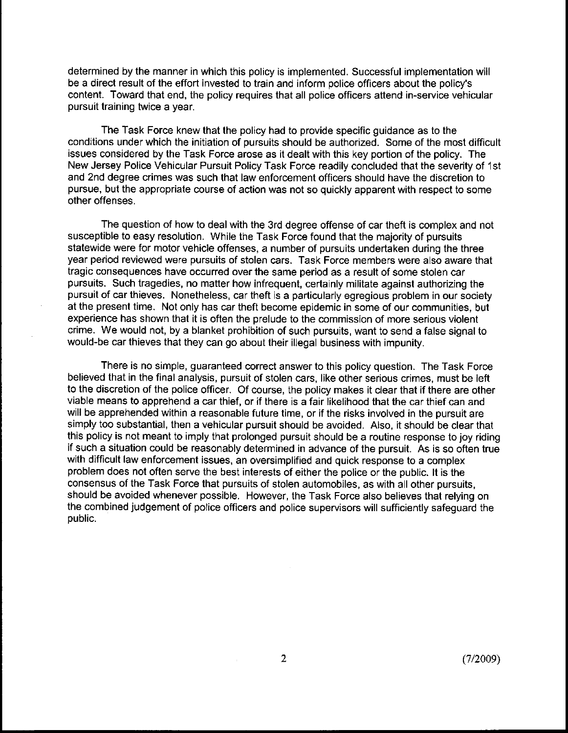determined by the manner in which this policy is implemented. Successful implementation will be a direct result of the effort invested to train and inform police officers about the policy's content. Toward that end, the policy requires that all police officers attend in-service vehicular pursuit training twice a year.

The Task Force knew that the policy had to provide specific guidance as to the conditions under which the initiation of pursuits should be authorized. Some of the most difficult issues considered by the Task Force arose as it dealt with this key portion of the policy. The New Jersey Police Vehicular Pursuit Policy Task Force readily concluded that the severity of 1st and 2nd degree crimes was such that law enforcement officers should have the discretion to pursue, but the appropriate course of action was not so quickly apparent with respect to some other offenses.

The question of how to deal with the 3rd degree offense of car theft is complex and not susceptible to easy resolution. While the Task Force found that the majority of pursuits statewide were for motor vehicle offenses, a number of pursuits undertaken during the three year period reviewed were pursuits of stolen cars. Task Force members were also aware that tragic consequences have occurred over the same period as a result of some stolen car pursuits. Such tragedies, no matter how infrequent, certainly militate against authorizing the pursuit of car thieves. Nonetheless, car theft is a particularly egregious problem in our society at the present time. Not only has car theft become epidemic in some of our communities, but experience has shown that it is often the prelude to the commission of more serious violent crime. We would not, by a blanket prohibition of such pursuits, want to send a false signal to would-be car thieves that they can go about their illegal business with impunity.

There is no simple, guaranteed correct answer to this policy question. The Task Force believed that in the final analysis, pursuit of stolen cars, like other serious crimes, must be left to the discretion of the police officer. Of course, the policy makes it clear that if there are other viable means to apprehend a car thief, or if there is a fair likelihood that the car thief can and will be apprehended within a reasonable future time, or if the risks involved in the pursuit are simply too substantial, then a vehicular pursuit should be avoided. Also, it should be clear that this policy is not meant to imply that prolonged pursuit should be a routine response to joy riding if such a situation could be reasonably determined in advance of the pursuit. As is so often true with difficult law enforcement issues, an oversimplified and quick response to a complex problem does not often serve the best interests of either the police or the public. It is the consensus of the Task Force that pursuits of stolen automobiles, as with all other pursuits, should be avoided whenever possible. However, the Task Force also believes that relying on the combined judgement of police officers and police supervisors will sufficiently safeguard the public.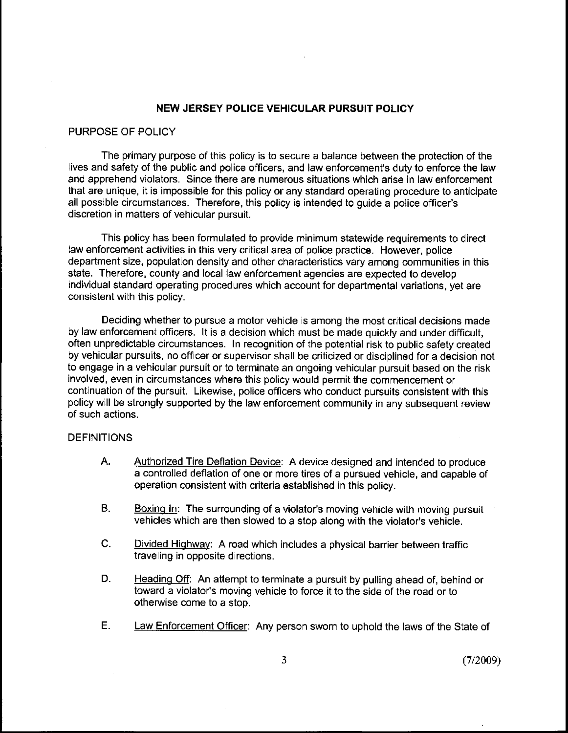#### **NEW JERSEY POLICE VEHICULAR PURSUIT POLICY**

## PURPOSE OF POLICY

The primary purpose of this policy is to secure a balance between the protection of the lives and safety of the public and police officers, and law enforcement's duty to enforce the law and apprehend violators. Since there are numerous situations which arise in law enforcement that are unique, it is impossible for this policy or any standard operating procedure to anticipate all possible circumstances. Therefore, this policy is intended to guide a police officer's discretion in matters of vehicular pursuit.

This policy has been formulated to provide minimum statewide requirements to direct law enforcement activities in this very critical area of police practice. However, police department size, population density and other characteristics vary among communities in this state. Therefore, county and local law enforcement agencies are expected to develop individual standard operating procedures which account for departmental variations, yet are consistent with this policy.

Deciding whether to pursue a motor vehicle is among the most critical decisions made by law enforcement officers. It is a decision which must be made quickly and under difficult, often unpredictable circumstances. In recognition of the potential risk to public safety created by vehicular pursuits, no officer or supervisor shall be criticized or disciplined for a decision not to engage in a vehicular pursuit or to terminate an ongoing vehicular pursuit based on the risk involved, even in circumstances where this policy would permit the commencement or continuation of the pursuit. Likewise, police officers who conduct pursuits consistent with this policy will be strongly supported by the law enforcement community in any subsequent review of such actions.

#### DEFINITIONS

- Α. Authorized Tire Deflation Device: A device designed and intended to produce a controlled deflation of one or more tires of a pursued vehicle, and capable of operation consistent with criteria established in this policy.
- **B.** Boxing In: The surrounding of a violator's moving vehicle with moving pursuit vehicles which are then slowed to a stop along with the violator's vehicle.
- $\mathsf{C}$ . Divided Highway: A road which includes a physical barrier between traffic traveling in opposite directions.
- D. Heading Off: An attempt to terminate a pursuit by pulling ahead of, behind or toward a violator's moving vehicle to force it to the side of the road or to otherwise come to a stop.
- $E_{\rm{H}}$ Law Enforcement Officer: Any person sworn to uphold the laws of the State of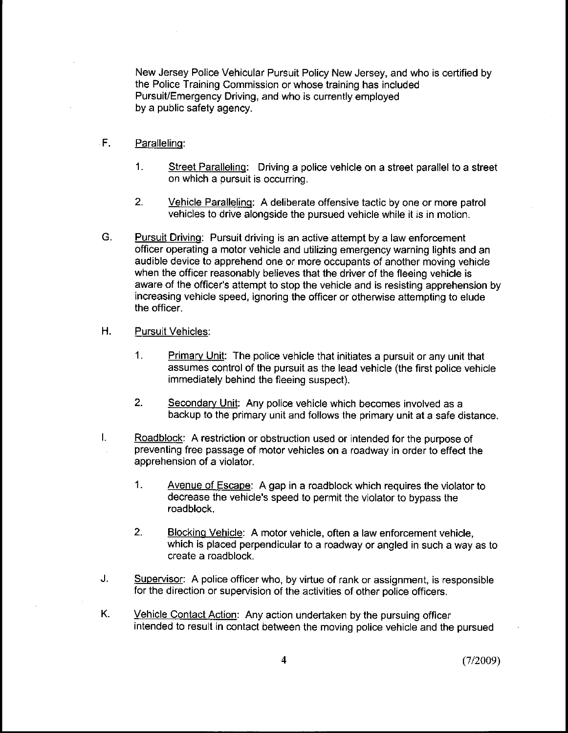New Jersey Police Vehicular Pursuit Policy New Jersey, and who is certified by the Police Training Commission or whose training has included Pursuit/Emergency Driving, and who is currently employed by a public safety agency.

- $F.$ Paralleling:
	- $\mathbf{1}$ . Street Parallelinq: Driving a police vehicle on a street parallel to a street on which a pursuit is occurring.
	- $2.$ Vehicle Paralleling: A deliberate offensive tactic by one or more patrol vehicles to drive alongside the pursued vehicle while it is in motion.
- G. **Pursuit Driving:** Pursuit driving is an active attempt by a law enforcement officer operating a motor vehicle and utilizing emergency warning lights and an audible device to apprehend one or more occupants of another moving vehicle when the officer reasonably believes that the driver of the fleeing vehicle is aware of the officer's attempt to stop the vehicle and is resisting apprehension by increasing vehicle speed, ignoring the officer or otherwise attempting to elude the officer.
- $H<sub>1</sub>$ Pursuit Vehicles:
	- $\mathbf{1}$ Primary Unit: The police vehicle that initiates a pursuit or any unit that assumes control of the pursuit as the lead vehicle (the first police vehicle immediately behind the fleeing suspect).
	- 2. Secondary Unit: Any police vehicle which becomes involved as a backup to the primary unit and follows the primary unit at a safe distance.
- I. Roadblock: A restriction or obstruction used or intended for the purpose of preventing free passage of motor vehicles on a roadway in order to effect the apprehension of a violator.
	- $1.$ Avenue of Escape: A gap in a roadblock which requires the violator to decrease the vehicle's speed to permit the violator to bypass the roadblock.
	- $2^{\circ}$ Blockinq Vehicle: A motor vehicle, often a law enforcement vehicle, which is placed perpendicular to a roadway or angled in such a way as to create a roadblock.
- J. Supervisor: A police officer who, by virtue of rank or assignment, is responsible for the direction or supervision of the activities of other police officers.
- Κ. Vehicle Contact Action: Any action undertaken by the pursuing officer intended to result in contact between the moving police vehicle and the pursued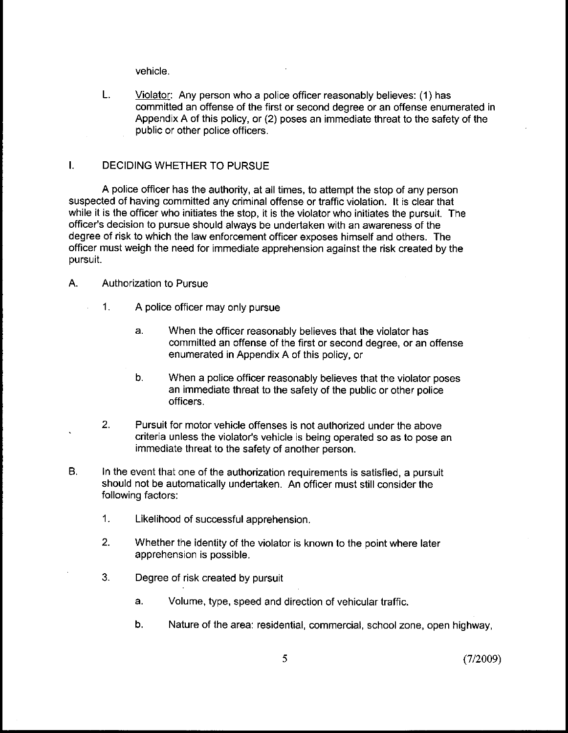vehicle.

L. Violator: Any person who a police officer reasonably believes: (1) has committed an offense of the first or second degree or an offense enumerated in Appendix A of this policy, or (2) poses an immediate threat to the safety of the public or other police officers.

# I. DECIDING WHETHER TO PURSUE

A police officer has the authority, at all times, to attempt the stop of any person suspected of having committed any criminal offense or traffic violation. It is clear that while it is the officer who initiates the stop, it is the violator who initiates the pursuit. The officer's decision to pursue should always be undertaken with an awareness of the degree of risk to which the law enforcement officer exposes himself and others. The officer must weigh the need for immediate apprehension against the risk created by the pursuit.

### A. Authorization to Pursue

- 1. A police officer may only pursue
	- a. When the officer reasonably believes that the violator has committed an offense of the first or second degree, or an offense enumerated in Appendix A of this policy, or
	- $b.$ When a police officer reasonably believes that the violator poses an immediate threat to the safety of the public or other police officers.
- $2<sub>1</sub>$ Pursuit for motor vehicle offenses is not authorized under the above criteria unless the violator's vehicle is being operated so as to pose an immediate threat to the safety of another person.
- **B.** In the event that one of the authorization requirements is satisfied, a pursuit should not be automatically undertaken. An officer must still consider the following factors:
	- 1. Likelihood of successful apprehension.
	- $2.$ Whether the identity of the violator is known to the point where later apprehension is possible.
	- 3. Degree of risk created by pursuit
		- a. Volume, type, speed and direction of vehicular traffic.
		- b. Nature of the area: residential, commercial, school zone, open highway,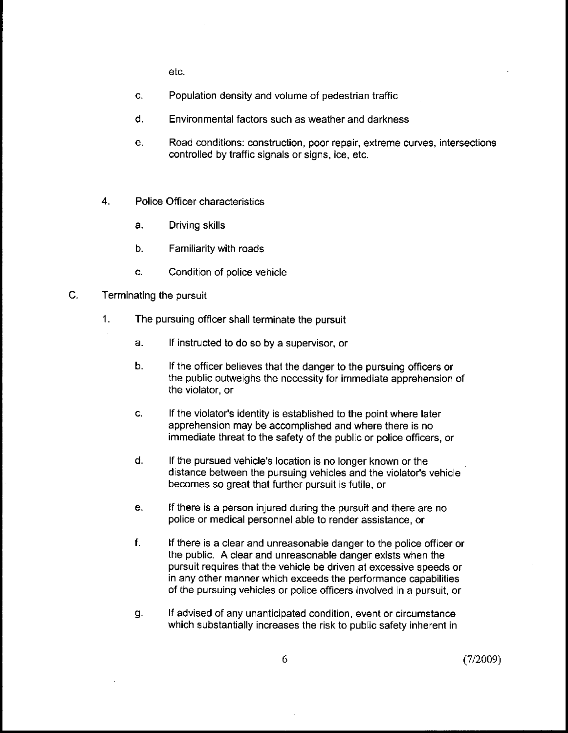etc.

- C. Population density and volume of pedestrian traffic
- d. Environmental factors such as weather and darkness
- Road conditions: construction, poor repair, extreme curves, intersections e. controlled by traffic signals or signs, ice, etc.
- 4. Police Officer characteristics
	- a. Driving skills
	- b. Familiarity with roads
	- c. Condition of police vehicle
- C. Terminating the pursuit
	- 1. The pursuing officer shall terminate the pursuit
		- a. If instructed to do so by a supervisor, or
		- b. If the officer believes that the danger to the pursuing officers or the public outweighs the necessity for immediate apprehension of the violator, or
		- c. If the violator's identity is established to the point where later apprehension may be accomplished and where there is no immediate threat to the safety of the public or police officers, or
		- d. If the pursued vehicle's location is no longer known or the distance between the pursuing vehicles and the violator's vehicle becomes so great that further pursuit is futile, or
		- е. If there is a person injured during the pursuit and there are no police or medical personnel able to render assistance, or
		- f. If there is a clear and unreasonable danger to the police officer or the public. A clear and unreasonable danger exists when the pursuit requires that the vehicle be driven at excessive speeds or in any other manner which exceeds the performance capabilities of the pursuing vehicles or police officers involved in a pursuit, or
		- If advised of any unanticipated condition, event or circumstance g. which substantially increases the risk to public safety inherent in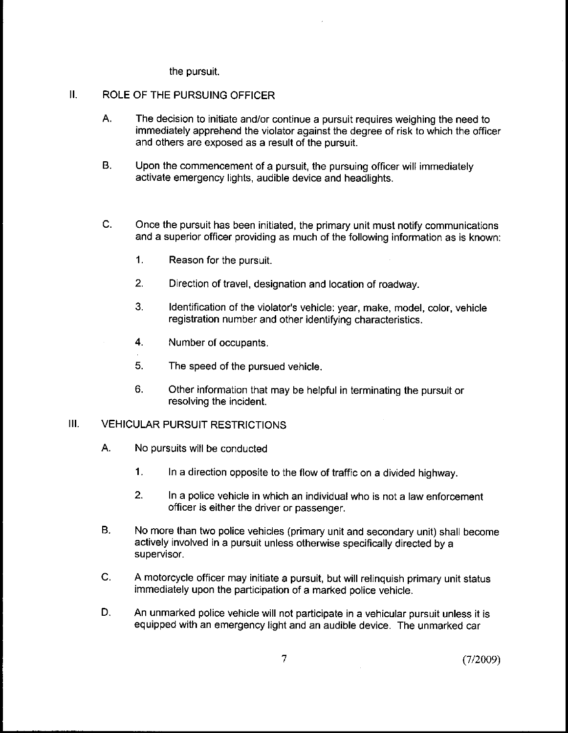the pursuit.

#### $II.$ ROLE OF THE PURSUING OFFICER

- A. The decision to initiate and/or continue a pursuit requires weighing the need to immediately apprehend the violator against the degree of risk to which the officer and others are exposed as a result of the pursuit.
- B. Upon the commencement of a pursuit, the pursuing officer will immediately activate emergency lights, audible device and headlights.
- $\mathsf{C}.$ Once the pursuit has been initiated, the primary unit must notify communications and a superior officer providing as much of the following information as is known:
	- 1. Reason for the pursuit.
	- 2. Direction of travel, designation and location of roadway.
	- 3. Identification of the violator's vehicle: year, make, model, color, vehicle registration number and other identifying characteristics.
	- 4. Number of occupants.
	- 5. The speed of the pursued vehicle.
	- Other information that may be helpful in terminating the pursuit or 6. resolving the incident.

#### III. VEHICULAR PURSUIT RESTRICTIONS

- A. No pursuits will be conducted
	- 1. In a direction opposite to the flow of traffic on a divided highway.
	- $2.$ In a police vehicle in which an individual who is not a law enforcement officer is either the driver or passenger.
- **B.** No more than two police vehicles (primary unit and secondary unit) shall become actively involved in a pursuit unless otherwise specifically directed by a supervisor.
- C. A motorcycle officer may initiate a pursuit, but will relinquish primary unit status immediately upon the participation of a marked police vehicle.
- D. An unmarked police vehicle will not participate in a vehicular pursuit unless it is equipped with an emergency light and an audible device. The unmarked car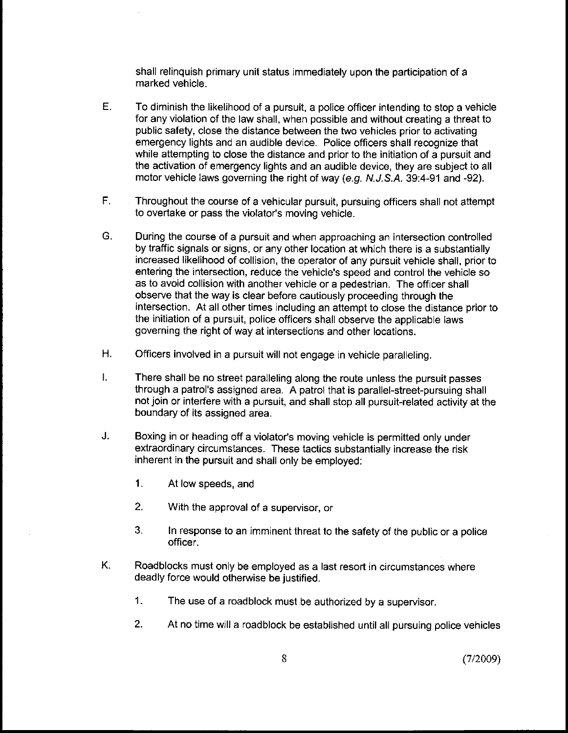shall relinquish primary unit status immediately upon the participation of a marked vehicle.

- E. To diminish the likelihood of a pursuit, a police officer intending to stop a vehicle for any violation of the law shall, when possible and without creating a threat to public safety, close the distance between the two vehicles prior to activating emergency lights and an audible device. Police officers shall recognize that while attempting to close the distance and prior to the initiation of a pursuit and the activation of emergency lights and an audible device, they are subject to all motor vehicle laws governing the right of way (e.g. N.J.S.A. 39:4-91 and -92).
- $F_{\perp}$ Throughout the course of a vehicular pursuit, pursuing officers shall not attempt to overtake or pass the violator's moving vehicle.
- G. During the course of a pursuit and when approaching an intersection controlled by traffic signals or signs, or any other location at which there is a substantially increased likelihood of collision, the operator of any pursuit vehicle shall, prior to entering the intersection, reduce the vehicle's speed and control the vehicle so as to avoid collision with another vehicle or a pedestrian. The officer shall observe that the way is clear before cautiously proceeding through the intersection. At all other times including an attempt to close the distance prior to the initiation of a pursuit, police officers shall observe the applicable laws governing the right of way at intersections and other locations.
- $H<sub>r</sub>$ Officers involved in a pursuit will not engage in vehicle paralleling.
- $\mathbf{L}$ There shall be no street paralleling along the route unless the pursuit passes through a patrol's assigned area. A patrol that is parallel-street-pursuing shall not join or interfere with a pursuit, and shall stop all pursuit-related activity at the boundary of its assigned area.
- J. Boxing in or heading off a violator's moving vehicle is permitted only under extraordinary circumstances. These tactics substantially increase the risk inherent in the pursuit and shall only be employed:
	- 1. At low speeds, and
	- 2. With the approval of a supervisor, or
	- 3. In response to an imminent threat to the safety of the public or a police officer.
- Κ. Roadblocks must only be employed as a last resort in circumstances where deadly force would otherwise be justified.
	- 1. The use of a roadblock must be authorized by a supervisor.
	- 2. At no time will a roadblock be established until all pursuing police vehicles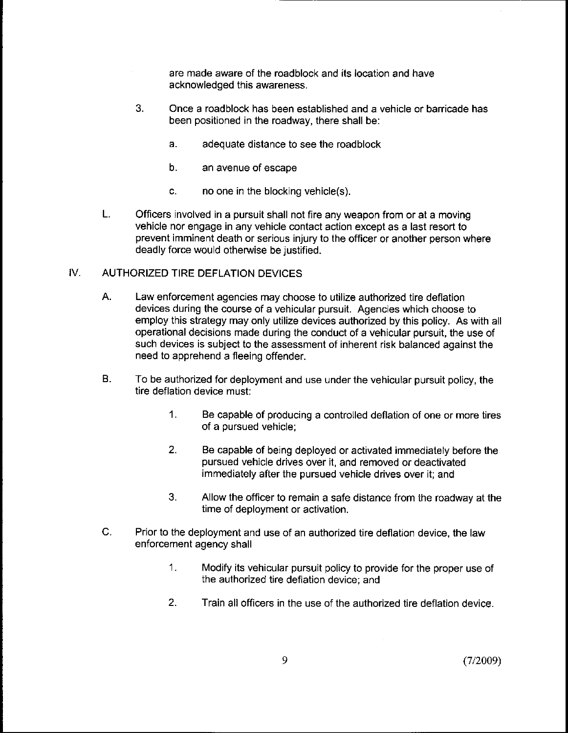are made aware of the roadblock and its location and have acknowledged this awareness.

- 3. Once a roadblock has been established and a vehicle or barricade has been positioned in the roadway, there shall be:
	- a. adequate distance to see the roadblock
	- b. an avenue of escape
	- c. no one in the blocking vehicle(s).
- L. Officers involved in a pursuit shall not fire any weapon from or at a moving vehicle nor engage in any vehicle contact action except as a last resort to prevent imminent death or serious injury to the officer or another person where deadly force would otherwise be justified.

#### IV. AUTHORIZED TIRE DEFLATION DEVICES

- А. Law enforcement agencies may choose to utilize authorized tire deflation devices during the course of a vehicular pursuit. Agencies which choose to employ this strategy may only utilize devices authorized by this policy. As with all operational decisions made during the conduct of a vehicular pursuit, the use of such devices is subject to the assessment of inherent risk balanced against the need to apprehend a fleeing offender.
- **B.** To be authorized for deployment and use under the vehicular pursuit policy, the tire deflation device must:
	- $1<sup>1</sup>$ Be capable of producing a controlled deflation of one or more tires of a pursued vehicle;
	- $2<sup>1</sup>$ Be capable of being deployed or activated immediately before the pursued vehicle drives over it, and removed or deactivated immediately after the pursued vehicle drives over it; and
	- 3. Allow the officer to remain a safe distance from the roadway at the time of deployment or activation.
- $\mathsf{C}$ . Prior to the deployment and use of an authorized tire deflation device, the law enforcement agency shall
	- $1.$ Modify its vehicular pursuit policy to provide for the proper use of the authorized tire deflation device; and
	- 2. Train all officers in the use of the authorized tire deflation device.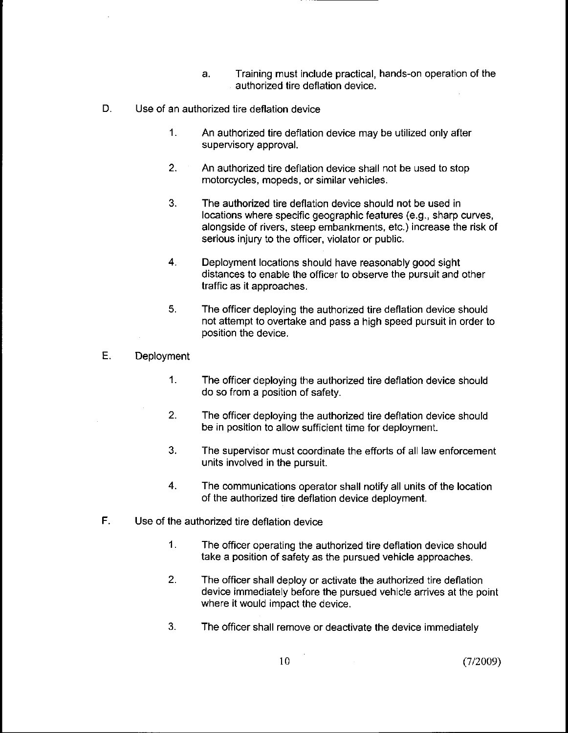- a. Training must include practical, hands-on operation of the authorized tire deflation device.
- D. Use of an authorized tire deflation device
	- $1.$ An authorized tire deflation device may be utilized only after supervisory approval.
	- $2.$ An authorized tire deflation device shall not be used to stop motorcycles, mopeds, or similar vehicles.
	- 3. The authorized tire deflation device should not be used in locations where specific geographic features (e.g., sharp curves, alongside of rivers, steep embankments, etc.) increase the risk of serious injury to the officer, violator or public.
	- $\overline{4}$ Deployment locations should have reasonably good sight distances to enable the officer to observe the pursuit and other traffic as it approaches.
	- 5. The officer deploying the authorized tire deflation device should not attempt to overtake and pass a high speed pursuit in order to position the device.
- Ε. **Deployment** 
	- $\mathbf{1}$ . The officer deploying the authorized tire deflation device should do so from a position of safety.
	- $2<sub>1</sub>$ The officer deploying the authorized tire deflation device should be in position to allow sufficient time for deployment.
	- 3. The supervisor must coordinate the efforts of all law enforcement units involved in the pursuit.
	- $\overline{4}$ . The communications operator shall notify all units of the location of the authorized tire deflation device deployment.
- F. Use of the authorized tire deflation device
	- $1.$ The officer operating the authorized tire deflation device should take a position of safety as the pursued vehicle approaches.
	- $2.$ The officer shall deploy or activate the authorized tire deflation device immediately before the pursued vehicle arrives at the point where it would impact the device.
	- 3. The officer shall remove or deactivate the device immediately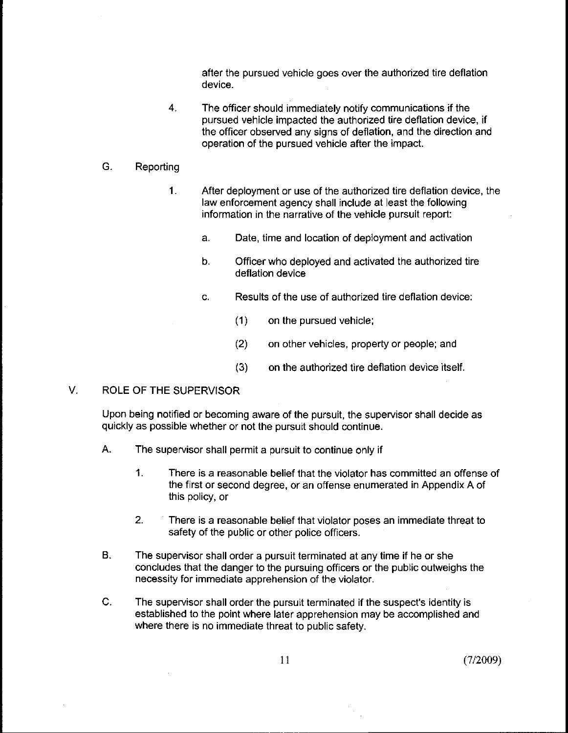after the pursued vehicle goes over the authorized tire deflation device.

 $\overline{4}$ . The officer should immediately notify communications if the pursued vehicle impacted the authorized tire deflation device, if the officer observed any signs of deflation, and the direction and operation of the pursued vehicle after the impact.

#### G. Reporting

- 1. After deployment or use of the authorized tire deflation device, the law enforcement agency shall include at least the following information in the narrative of the vehicle pursuit report:
	- a. Date, time and location of deployment and activation
	- $b.$ Officer who deployed and activated the authorized tire deflation device
	- c. Results of the use of authorized tire deflation device:
		- (1) on the pursued vehicle;
		- (2) on other vehicles, property or people; and
		- (3) on the authorized tire deflation device itself.

### V. ROLE OF THE SUPERVISOR

Upon being notified or becoming aware of the pursuit, the supervisor shall decide as quickly as possible whether or not the pursuit should continue.

- A. The supervisor shall permit a pursuit to continue only if
	- $\mathbf{1}$ . There is a reasonable belief that the violator has committed an offense of the first or second degree, or an offense enumerated in Appendix A of this policy, or
	- $2.$ There is a reasonable belief that violator poses an immediate threat to safety of the public or other police officers.
- **B.** The supervisor shall order a pursuit terminated at any time if he or she concludes that the danger to the pursuing officers or the public outweighs the necessity for immediate apprehension of the violator.
- C. The supervisor shall order the pursuit terminated if the suspect's identity is established to the point where later apprehension may be accomplished and where there is no immediate threat to public safety.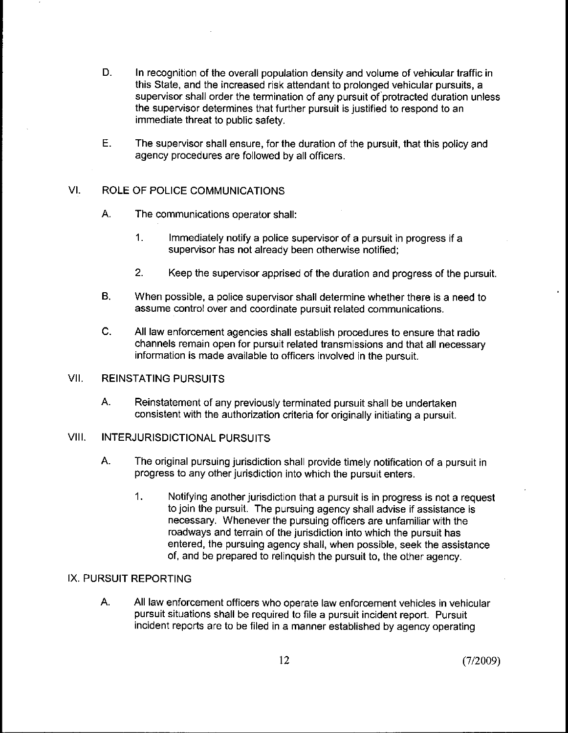- D. In recognition of the overall population density and volume of vehicular traffic in this State, and the increased risk attendant to prolonged vehicular pursuits, a supervisor shall order the termination of any pursuit of'protracted duration unless the supervisor determines that further pursuit is justified to respond to an immediate threat to public safety.
- Ε. The supervisor shall ensure, for the duration of the pursuit, that this policy and agency procedures are followed by all officers.

# Vl. ROLE OF POLICE COMMUNICATIONS

- A. The communications operator shall:
	- $\mathbf{1}$ . Immediately notify a police supervisor of a pursuit in progress if a supervisor has not already been otherwise notified;
	- 2. Keep the supervisor apprised of the duration and progress of the pursuit.
- **B.** When possible, a police supervisor shall determine whether there is a need to assume control over and coordinate pursuit related communications.
- $\mathsf{C}$ . All law enforcement agencies shall establish procedures to ensure that radio channels remain open for pursuit related transmissions and that all necessary information is made available to officers involved in the pursuit.

### VII. REINSTATING PURSUITS

A. Reinstatement of any previously terminated pursuit shall be undertaken consistent with the authorization criteria for originally initiating a pursuit.

### VIII. INTERJURISDICTIONAL PURSUITS

- A. The original pursuing jurisdiction shall provide timely notification of a pursuit in progress to any other jurisdiction into which the pursuit enters.
	- $1.$ Notifying another jurisdiction that a pursuit is in progress is not a request to join the pursuit. The pursuing agency shall advise if assistance is necessary. Whenever the pursuing officers are unfamiliar with the roadways and terrain of the jurisdiction into which the pursuit has entered, the pursuing agency shall, when possible, seek the assistance of, and be prepared to relinquish the pursuit to, the other agency.

### IX. PURSUIT REPORTING

А. All law enforcement officers who operate law enforcement vehicles in vehicular pursuit situations shall be required to file a pursuit incident report. Pursuit incident reports are to be filed in a manner established by agency operating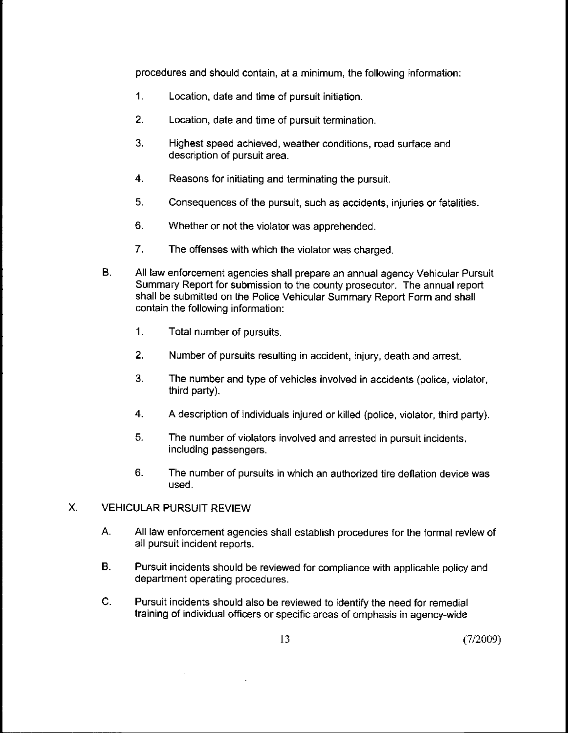procedures and should contain, at a minimum, the following information:

- 1. Location, date and time of pursuit initiation.
- 2. Location, date and time of pursuit termination.
- 3. Highest speed achieved, weather conditions, road surface and description of pursuit area.
- 4. Reasons for initiating and terminating the pursuit.
- 5. Consequences of the pursuit, such as accidents, injuries or fatalities.
- 6. Whether or not the violator was apprehended.
- 7. The offenses with which the violator was charged.
- B. All law enforcement agencies shall prepare an annual agency Vehicular Pursuit Summary Report for submission to the county prosecutor. The annual report shall be submitted on the Police Vehicular Summary Report Form and shall contain the following information:
	- 1. Total number of pursuits.
	- 2. Number of pursuits resulting in accident, injury, death and arrest.
	- 3. The number and type of vehicles involved in accidents (police, violator, third party).
	- 4. A description of individuals injured or killed (police, violator, third party).
	- 5. The number of violators involved and arrested in pursuit incidents, including passengers.
	- 6. The number of pursuits in which an authorized tire deflation device was used.

#### $X_{-}$ VEHICULAR PURSUIT REVIEW

- A. All law enforcement agencies shall establish procedures for the formal review of all pursuit incident reports.
- B. Pursuit incidents should be reviewed for compliance with applicable policy and department operating procedures.
- C. Pursuit incidents should also be reviewed to identify the need for remedial training of individual officers or specific areas of emphasis in agency-wide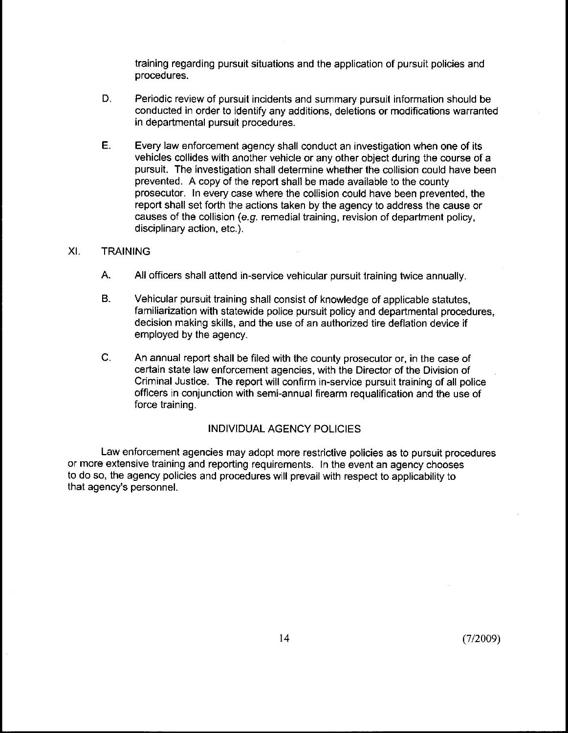training regarding pursuit situations and the application of pursuit policies and procedures.

- D. Periodic review of pursuit incidents and summary pursuit information should be conducted in order to identify any additions, deletions or modifications warranted in departmental pursuit procedures.
- E. Every law enforcement agency shall conduct an investigation when one of its vehicles collides with another vehicle or any other object during the course of a pursuit. The investigation shall determine whether the collision could have been prevented. A copy of the report shall be made available to the county prosecutor. In every case where the collision could have been prevented, the report shall set forth the actions taken by the agency to address the cause or causes of the collision (e.g. remedial training, revision of department policy, disciplinary action, etc.).

#### XI. **TRAINING**

- A. All officers shall attend in-service vehicular pursuit training twice annually.
- **B.** Vehicular pursuit training shall consist of knowledge of applicable statutes, familiarization with statewide police pursuit policy and departmental procedures, decision making skills, and the use of an authorized tire deflation device if employed by the agency.
- $\mathsf{C}$ . An annual report shall be filed with the county prosecutor or, in the case of certain state law enforcement agencies, with the Director of the Division of Criminal Justice. The report will confirm in-service pursuit training of all police officers in conjunction with semi-annual firearm requalification and the use of force training.

### INDIVIDUAL AGENCY POLICIES

Law enforcement agencies may adopt more restrictive policies as to pursuit procedures or more extensive training and reporting requirements. In the event an agency chooses to do so, the agency policies and procedures will prevail with respect to applicability to that agency's personnel.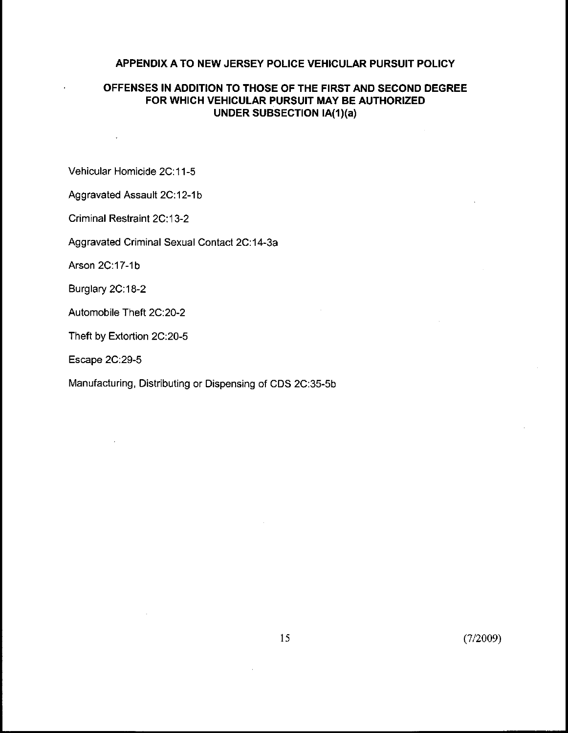# **APPENDIX A TO NEW JERSEY POLICE VEHICULAR PURSUIT POLICY**

# **OFFENSES IN ADDITION TO THOSE OF THE FIRST AND SECOND DEGREE FOR WHICH VEHICULAR PURSUIT MAY BE AUTHORIZED UNDER SUBSECTION IA(1)(a)**

Vehicular Homicide 2C: 11-5

Aggravated Assault 2C:12-1b

Criminal Restraint 2C: 13-2

Aggravated Criminal Sexual Contact 2C: 14-3a

Arson 2C:17-1b

Burglary 2C:18-2

Automobile Theft 2C:20-2

Theft by Extortion 2C:20-5

Escape 2C:29-5

Manufacturing, Distributing or Dispensing of CDS 2C:35-5b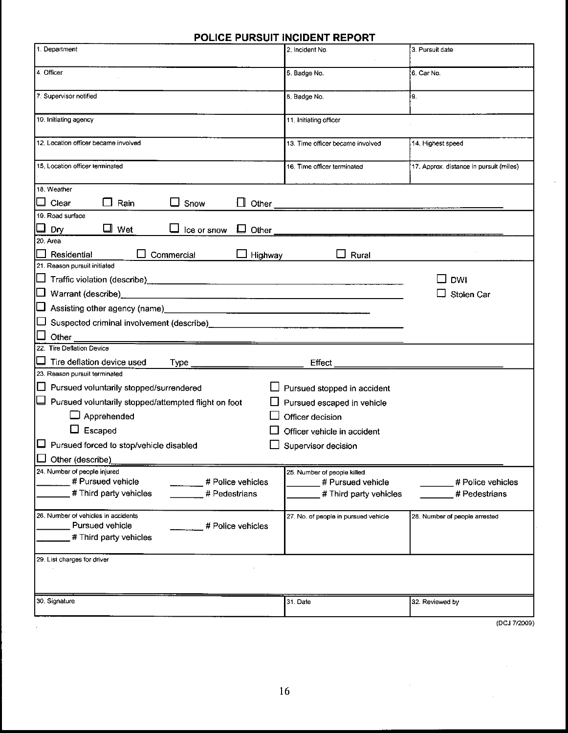# **POLICE PURSUIT INCIDENT REPORT**

| 1. Department                                                                             | 2. Incident No.                             | 3. Pursuit date                         |  |
|-------------------------------------------------------------------------------------------|---------------------------------------------|-----------------------------------------|--|
| 4. Officer                                                                                | 5. Badge No.                                | 6. Car No.                              |  |
| 7. Supervisor notified                                                                    | 8. Badge No.                                | 9.                                      |  |
| 10. Initiating agency                                                                     | 11. Initiating officer                      |                                         |  |
| 12. Location officer became involved                                                      | 13. Time officer became involved            | 14. Highest speed                       |  |
| 15, Location officer terminated                                                           | 16. Time officer terminated                 | 17. Approx. distance in pursuit (miles) |  |
| 18. Weather                                                                               |                                             |                                         |  |
| $\Box$ Clear<br>Rain<br>Snow                                                              | Other                                       |                                         |  |
| 19. Road surface                                                                          |                                             |                                         |  |
| $\Box$ Wet<br>Dry<br>Ice or snow<br>Other<br>ப                                            |                                             |                                         |  |
| 20. Area<br>Residential<br>Commercial<br>Highway                                          | Rural                                       |                                         |  |
| 21. Reason pursuit initiated                                                              |                                             |                                         |  |
|                                                                                           |                                             | DWI<br>Stolen Car                       |  |
|                                                                                           |                                             |                                         |  |
| □ Suspected criminal involvement (describe) ___________________________________           |                                             |                                         |  |
| Other                                                                                     |                                             |                                         |  |
| 22. Tire Deflation Device                                                                 |                                             |                                         |  |
| Tire deflation device used                                                                | Effect                                      |                                         |  |
| 23. Reason pursuit terminated                                                             |                                             |                                         |  |
| Pursued voluntarily stopped/surrendered                                                   | Pursued stopped in accident                 |                                         |  |
| $\Box$ Pursued voluntarily stopped/attempted flight on foot                               | Pursued escaped in vehicle                  |                                         |  |
| $\Box$ Apprehended                                                                        | Officer decision                            |                                         |  |
| $\Box$ Escaped                                                                            | Officer vehicle in accident                 |                                         |  |
| $\Box$ Pursued forced to stop/vehicle disabled<br>Supervisor decision<br>Other (describe) |                                             |                                         |  |
| 24. Number of people injured                                                              | 25. Number of people killed                 |                                         |  |
| # Pursued vehicle<br># Police vehicles<br># Third party vehicles<br># Pedestrians         | # Pursued vehicle<br># Third party vehicles | # Police vehicles<br># Pedestrians      |  |
|                                                                                           |                                             |                                         |  |
| 26. Number of vehicles in accidents<br>Pursued vehicle                                    | 27. No. of people in pursued vehicle        | 28. Number of people arrested           |  |
| # Police vehicles<br># Third party vehicles                                               |                                             |                                         |  |
|                                                                                           |                                             |                                         |  |
| 29. List charges for driver                                                               |                                             |                                         |  |
|                                                                                           |                                             |                                         |  |
| 30. Signature                                                                             | 31. Date                                    | 32. Reviewed by                         |  |
|                                                                                           |                                             |                                         |  |
|                                                                                           |                                             | (DCJ 7/2009)                            |  |

 $\bar{\beta}$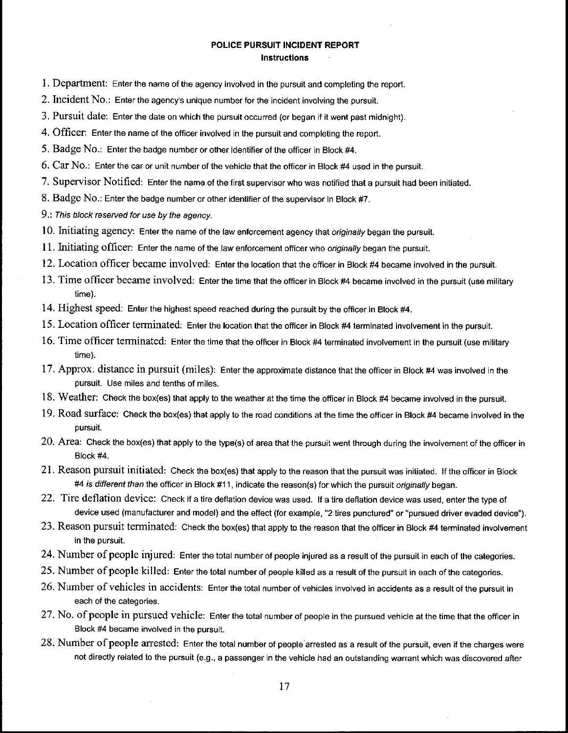#### **POLICE PURSUIT INCIDENT REPORT Instructions**

- 1. Department: Enter the name of the agency involved in the pursuit and completing the report.
- 2. Incident No.: Enter the agency's unique number for the incident involving the pursuit.
- 3. Pursuit date: Enter the date on which the pursuit occurred (or began if it went past midnight).
- 4. Officer: Enter the name of the officer involved in the pursuit and completing the report.
- 5. Badge No,: Enter the badge number or other identifier of the officer in Block #4.
- 6. Car No.: Enter the car or unit number of the vehicle that the officer in Block #4 used in the pursuit.
- 7. Supervisor Notified: Enter the name of the first supervisor who was notified that a pursuit had been initiated.
- 8. Badge No.: Enter the badge number or other identifier of the supervisor in Block #7.
- 9.: This block reserved for use by the agency.
- 10. Initiating agency: Enter the name of the law enforcement agency that originally began the pursuit.
- 11. Initiating officer: Enter the name of the law enforcement officer who originally began the pursuit.
- 12. Location officer became involved: Enter the location that the officer in Block #4 became involved in the pursuit.
- 13. Time officer became involved: Enter the time that the officer in Block #4 became involved in the pursuit (use military time).
- 14. Highest speed: Enter the highest speed reached during the pursuit by the officer in Block #4.
- 15. Location officer terminated: Enter the location that the officer in Block #4 terminated involvement in the pursuit.
- 16. Time officer terminated: Enter the time that the officer in Block #4 terminated involvement in the pursuit (use military time).
- 17. Approx. distance in pursuit (miles): Enter the approximate distance that the officer in Block #4 was involved in the pursuit. Use miles and tenths of miles.
- 18. Weather: Check the box(es) that apply to the weather at the time the officer in Block #4 became involved in the pursuit.
- 19. Road surface: Check the box(es) that apply to the road conditions at the time the officer in Block #4 became involved in the pursuit.
- 20. Area: Check the box(es) that apply to the type(s) of area that the pursuit went through during the involvement of the officer in Block #4.
- 21. Reason pursuit initiated: Check the box(es) that apply to the reason that the pursuit was initiated. If the officer in Block #4 is different than the officer in Block #11, indicate the reason(s) for which the pursuit originally began.
- 22. Tire deflation device: Check if a tire deflation device was used. If a tire deflation device was used, enter the type of device used (manufacturer and model) and the effect (for example, "2 tires punctured" or "pursued driver evaded device").
- 23. Reason pursuit terminated: Check the box(es) that apply to the reason that the officer in Block #4 terminated involvement in the pursuit.
- 24. Number of people injured: Enter the total number of people injured as a result of the pursuit in each of the categories.
- 25. Number of people killed: Enter the total number of people killed as a result of the pursuit in each of the categories.
- 26. Number of vehicles in accidents: Enter the total number of vehicles involved in accidents as a result of the pursuit in each of the categories.
- 27. NO, of people in pursued vehicle: Enter the total number of people in the pursued vehicle at the time that the officer in Block #4 became involved in the pursuit.
- 28. Number of people arrested: Enter the total number of people arrested as a result of the pursuit, even if the charges were not directly related to the pursuit (e.g., a passenger in the vehicle had an outstanding warrant which was discovered affer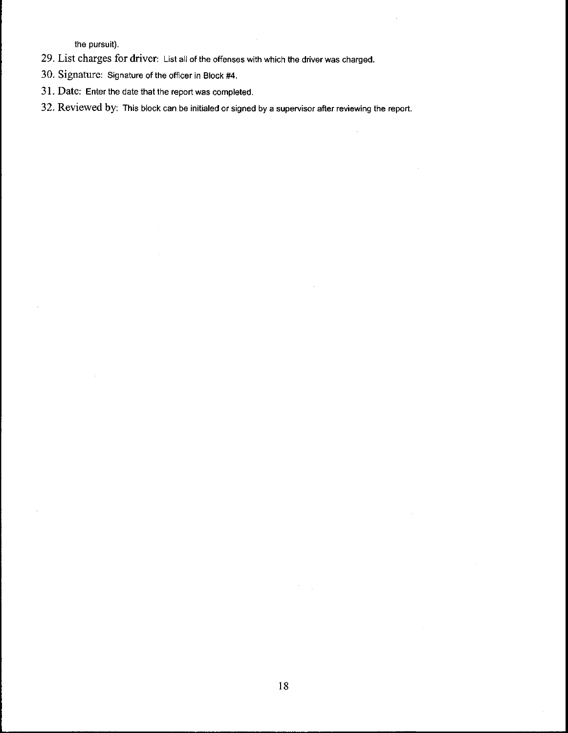the pursuit).

- 29. List charges for driver: List all of the offenses with which the driver was charged.
- 30. Signature: Signature of the officer in Block #4,
- 3 ]. Date: Enter the date that the report was completed,
- 32. Reviewed by: This block can be initialed or signed by a supervisor after reviewing the report,